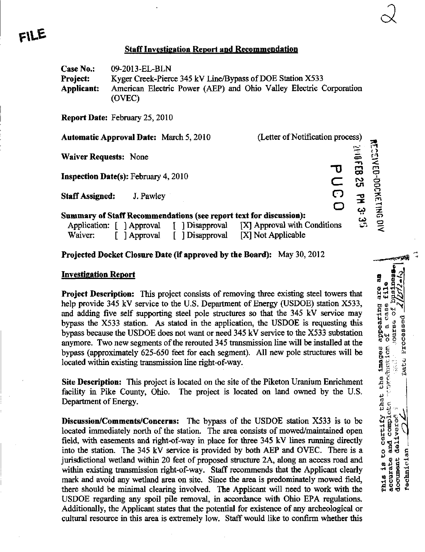## **Staff Investigation Report and Recommendation**

Case No.: 09-2013-EL-BLN Project: Kyger Creek-Pierce 345 kV Line/Bypass of DOE Station X533 Applicant: American Electric Power (AEP) and Ohio Valley Electric Corporation (OVEC)

Report Date: February 25,2010

Automatic Approval Date: March 5,2010 (Letter of Notification process)

 $\frac{1}{2}$ 

 $\vec{a}$ 

•:»

**ESENED** 

g o o PC —\*  $\bar{\mathbf{z}}$ en o  $\prec$ 

 $\Omega$  $\mathbf{E}$ 3 ب

PUCO

 $\overline{\phantom{a}}$ 

 $\propto$ 

Waiver Requests: None

FILE

Inspection Date(s): February 4, 2010

Staff Assigned: J. Pawley

## Summary of Staff Recommendations (see report text for discussion):

|         | Application: [ ] Approval | [ ] Disapproval | [X] Approval with Conditions |
|---------|---------------------------|-----------------|------------------------------|
| Waiver: | [ ] Approval              | [ ] Disapproval | [X] Not Applicable           |

## Projected Docket Closure Date (if approved by the Board): May 30, 2012

# Investigation Report a visit of the visit of the visit of the visit of the visit of the visit of the visit of the visit of the visit of the visit of the visit of the visit of the visit of the visit of the visit of the visi

Project Description: This project consists of removing three existing steel towers that  $\frac{9}{9}$ and adding five self supporting steel pole structures so that the 345 kV service may<br>bypass the X533 station. As stated in the application, the USDOE is requesting this<br>bypass because the USDOE does not want or need 345 k bypass the  $X533$  station. As stated in the application, the USDOE is requesting this bypass because the USDOE does not want or need  $345 \text{ kV}$  service to the  $X533$  substation anymore. Two new segments of the rerouted 345 transmission line will be installed at the bypass (approximately 625-650 feet for each segment). All new pole structures will be  $\begin{bmatrix} 8 & 6 \\ 8 & 7 \\ 1 & 3 \\ 2 & 3 \\ 3 & 5 \end{bmatrix}$ located within existing transmission line right-of-way.

Site Description: This project is located on the site of the Piketon Uranium Enrichment facility in Pike County, Ohio. The project is located on land owned by the U.S.

help provide 345 kV service to the U.S. Department of Energy (USDOE) station X533,<br>
and adding five self supporting stele pole structures so that the 345 kV service may<br>bypass because the USDOE does not want or need 345 k Department of Energy.<br>
Discussion/Comments/Concerns: The bypass of the USDOE station X533 is to be<br>
located immediately north of the station. The area consists of mowed/maintained open<br>
field, with easements and right-of-**Discussion/Comments/Concerns:** The bypass of the USDOE station X533 is to be incorded immediately north of the station. The area consists of mowed/maintained open field, with easements and right-of-way in place for three located immediately north of the station. The area consists of mowed/maintained open field, with easements and right-of-way in place for three 345 kV lines running directly into the station. The 345 kV service is provided by both AEP and OVEC. There is a<br>jurisdictional wetland within 20 feet of proposed structure 2A, along an access road and<br>within existing transmission right-of-way. Staff r jurisdictional wetland within 20 feet of proposed structure 2A, along an access road and<br>within existing transmission right-of-way. Staff recommends that the Applicant clearly<br>mark and avoid any wetland area on site. Since within existing transmission right-of-way. Staff recommends that the Applicant clearly mark and avoid any wetland area on site. Since the area is predominately mowed field, there should be minimal clearing involved. The Applicant will need to work with the USDOE regarding any spoil pile removal, in accordance with Ohio EPA regulations. Additionally, the Applicant states that the potential for existence of any archeological or cultural resource in this area is extremely low. Staff would like to confirm whether this